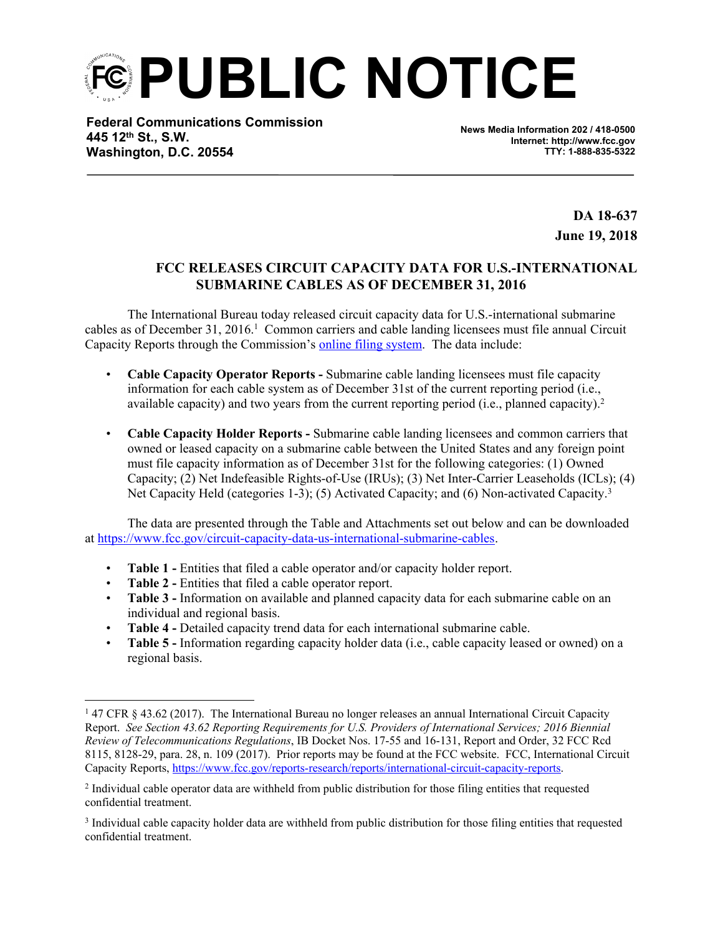**PUBLIC NOTICE**

**Federal Communications Commission 445 12th St., S.W. Washington, D.C. 20554**

**News Media Information 202 / 418-0500 Internet: http://www.fcc.gov TTY: 1-888-835-5322**

> **DA 18-637 June 19, 2018**

## **FCC RELEASES CIRCUIT CAPACITY DATA FOR U.S.-INTERNATIONAL SUBMARINE CABLES AS OF DECEMBER 31, 2016**

The International Bureau today released circuit capacity data for U.S.-international submarine cables as of December 31, 2016.<sup>1</sup> Common carriers and cable landing licensees must file annual Circuit Capacity Reports through the Commission's online filing [system.](https://apps2.fcc.gov/section4362/login.xhtml) The data include:

- **Cable Capacity Operator Reports -** Submarine cable landing licensees must file capacity information for each cable system as of December 31st of the current reporting period (i.e., available capacity) and two years from the current reporting period (i.e., planned capacity).<sup>2</sup>
- **Cable Capacity Holder Reports -** Submarine cable landing licensees and common carriers that owned or leased capacity on a submarine cable between the United States and any foreign point must file capacity information as of December 31st for the following categories: (1) Owned Capacity; (2) Net Indefeasible Rights-of-Use (IRUs); (3) Net Inter-Carrier Leaseholds (ICLs); (4) Net Capacity Held (categories 1-3); (5) Activated Capacity; and (6) Non-activated Capacity.<sup>3</sup>

The data are presented through the Table and Attachments set out below and can be downloaded at <https://www.fcc.gov/circuit-capacity-data-us-international-submarine-cables>.

- **Table 1 -** Entities that filed a cable operator and/or capacity holder report.
- **Table 2 -** Entities that filed a cable operator report.
- **Table 3 -** Information on available and planned capacity data for each submarine cable on an individual and regional basis.
- **Table 4 -** Detailed capacity trend data for each international submarine cable.
- **Table 5 -** Information regarding capacity holder data (i.e., cable capacity leased or owned) on a regional basis.

<sup>1</sup> 47 CFR § 43.62 (2017). The International Bureau no longer releases an annual International Circuit Capacity Report. *See Section 43.62 Reporting Requirements for U.S. Providers of International Services; 2016 Biennial Review of Telecommunications Regulations*, IB Docket Nos. 17-55 and 16-131, Report and Order, 32 FCC Rcd 8115, 8128-29, para. 28, n. 109 (2017). Prior reports may be found at the FCC website. FCC, International Circuit Capacity Reports, <https://www.fcc.gov/reports-research/reports/international-circuit-capacity-reports>.

<sup>2</sup> Individual cable operator data are withheld from public distribution for those filing entities that requested confidential treatment.

<sup>&</sup>lt;sup>3</sup> Individual cable capacity holder data are withheld from public distribution for those filing entities that requested confidential treatment.